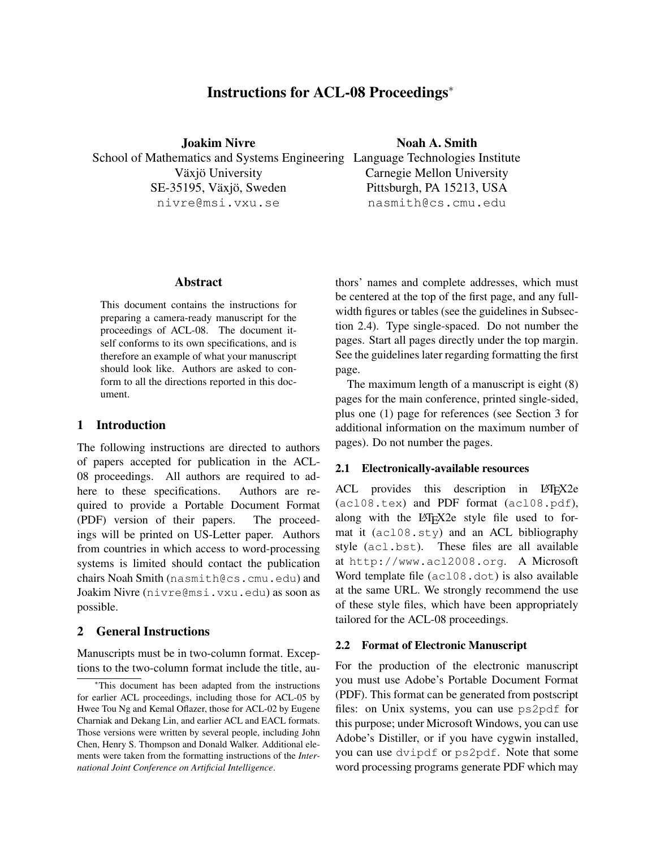# Instructions for ACL-08 Proceedings<sup>∗</sup>

Joakim Nivre School of Mathematics and Systems Engineering Language Technologies Institute Växjö University SE-35195, Växjö, Sweden nivre@msi.vxu.se

## Noah A. Smith

Carnegie Mellon University Pittsburgh, PA 15213, USA nasmith@cs.cmu.edu

## **Abstract**

This document contains the instructions for preparing a camera-ready manuscript for the proceedings of ACL-08. The document itself conforms to its own specifications, and is therefore an example of what your manuscript should look like. Authors are asked to conform to all the directions reported in this document.

#### 1 Introduction

The following instructions are directed to authors of papers accepted for publication in the ACL-08 proceedings. All authors are required to adhere to these specifications. Authors are required to provide a Portable Document Format (PDF) version of their papers. The proceedings will be printed on US-Letter paper. Authors from countries in which access to word-processing systems is limited should contact the publication chairs Noah Smith (nasmith@cs.cmu.edu) and Joakim Nivre (nivre@msi.vxu.edu) as soon as possible.

### 2 General Instructions

Manuscripts must be in two-column format. Exceptions to the two-column format include the title, authors' names and complete addresses, which must be centered at the top of the first page, and any fullwidth figures or tables (see the guidelines in Subsection 2.4). Type single-spaced. Do not number the pages. Start all pages directly under the top margin. See the guidelines later regarding formatting the first page.

The maximum length of a manuscript is eight (8) pages for the main conference, printed single-sided, plus one (1) page for references (see Section 3 for additional information on the maximum number of pages). Do not number the pages.

#### 2.1 Electronically-available resources

ACL provides this description in LAT<sub>EX2</sub>e (acl08.tex) and PDF format (acl08.pdf), along with the LATEX2e style file used to format it (acl08.sty) and an ACL bibliography style (acl.bst). These files are all available at http://www.acl2008.org. A Microsoft Word template file (acl08.dot) is also available at the same URL. We strongly recommend the use of these style files, which have been appropriately tailored for the ACL-08 proceedings.

#### 2.2 Format of Electronic Manuscript

For the production of the electronic manuscript you must use Adobe's Portable Document Format (PDF). This format can be generated from postscript files: on Unix systems, you can use ps2pdf for this purpose; under Microsoft Windows, you can use Adobe's Distiller, or if you have cygwin installed, you can use dvipdf or ps2pdf. Note that some word processing programs generate PDF which may

<sup>∗</sup>This document has been adapted from the instructions for earlier ACL proceedings, including those for ACL-05 by Hwee Tou Ng and Kemal Oflazer, those for ACL-02 by Eugene Charniak and Dekang Lin, and earlier ACL and EACL formats. Those versions were written by several people, including John Chen, Henry S. Thompson and Donald Walker. Additional elements were taken from the formatting instructions of the *International Joint Conference on Artificial Intelligence*.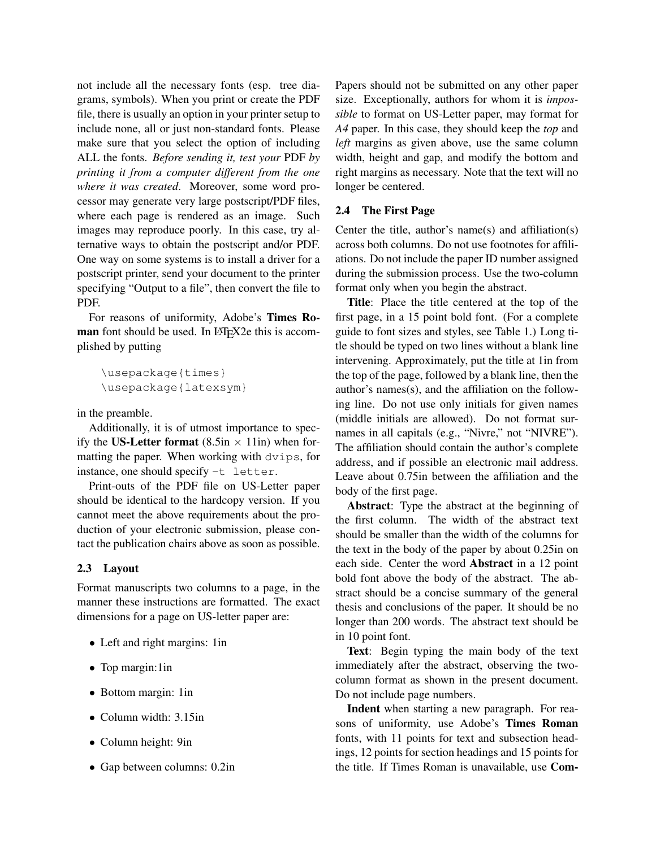not include all the necessary fonts (esp. tree diagrams, symbols). When you print or create the PDF file, there is usually an option in your printer setup to include none, all or just non-standard fonts. Please make sure that you select the option of including ALL the fonts. *Before sending it, test your* PDF *by printing it from a computer different from the one where it was created*. Moreover, some word processor may generate very large postscript/PDF files, where each page is rendered as an image. Such images may reproduce poorly. In this case, try alternative ways to obtain the postscript and/or PDF. One way on some systems is to install a driver for a postscript printer, send your document to the printer specifying "Output to a file", then convert the file to PDF.

For reasons of uniformity, Adobe's Times Roman font should be used. In LATEX2e this is accomplished by putting

```
\usepackage{times}
\usepackage{latexsym}
```
in the preamble.

Additionally, it is of utmost importance to specify the US-Letter format  $(8.5in \times 11in)$  when formatting the paper. When working with dvips, for instance, one should specify -t letter.

Print-outs of the PDF file on US-Letter paper should be identical to the hardcopy version. If you cannot meet the above requirements about the production of your electronic submission, please contact the publication chairs above as soon as possible.

## 2.3 Layout

Format manuscripts two columns to a page, in the manner these instructions are formatted. The exact dimensions for a page on US-letter paper are:

- Left and right margins: 1in
- Top margin:1in
- Bottom margin: 1in
- Column width: 3.15in
- Column height: 9in
- Gap between columns: 0.2in

Papers should not be submitted on any other paper size. Exceptionally, authors for whom it is *impossible* to format on US-Letter paper, may format for *A4* paper. In this case, they should keep the *top* and *left* margins as given above, use the same column width, height and gap, and modify the bottom and right margins as necessary. Note that the text will no longer be centered.

## 2.4 The First Page

Center the title, author's name(s) and affiliation(s) across both columns. Do not use footnotes for affiliations. Do not include the paper ID number assigned during the submission process. Use the two-column format only when you begin the abstract.

Title: Place the title centered at the top of the first page, in a 15 point bold font. (For a complete guide to font sizes and styles, see Table 1.) Long title should be typed on two lines without a blank line intervening. Approximately, put the title at 1in from the top of the page, followed by a blank line, then the author's names(s), and the affiliation on the following line. Do not use only initials for given names (middle initials are allowed). Do not format surnames in all capitals (e.g., "Nivre," not "NIVRE"). The affiliation should contain the author's complete address, and if possible an electronic mail address. Leave about 0.75in between the affiliation and the body of the first page.

Abstract: Type the abstract at the beginning of the first column. The width of the abstract text should be smaller than the width of the columns for the text in the body of the paper by about 0.25in on each side. Center the word Abstract in a 12 point bold font above the body of the abstract. The abstract should be a concise summary of the general thesis and conclusions of the paper. It should be no longer than 200 words. The abstract text should be in 10 point font.

Text: Begin typing the main body of the text immediately after the abstract, observing the twocolumn format as shown in the present document. Do not include page numbers.

Indent when starting a new paragraph. For reasons of uniformity, use Adobe's Times Roman fonts, with 11 points for text and subsection headings, 12 points for section headings and 15 points for the title. If Times Roman is unavailable, use Com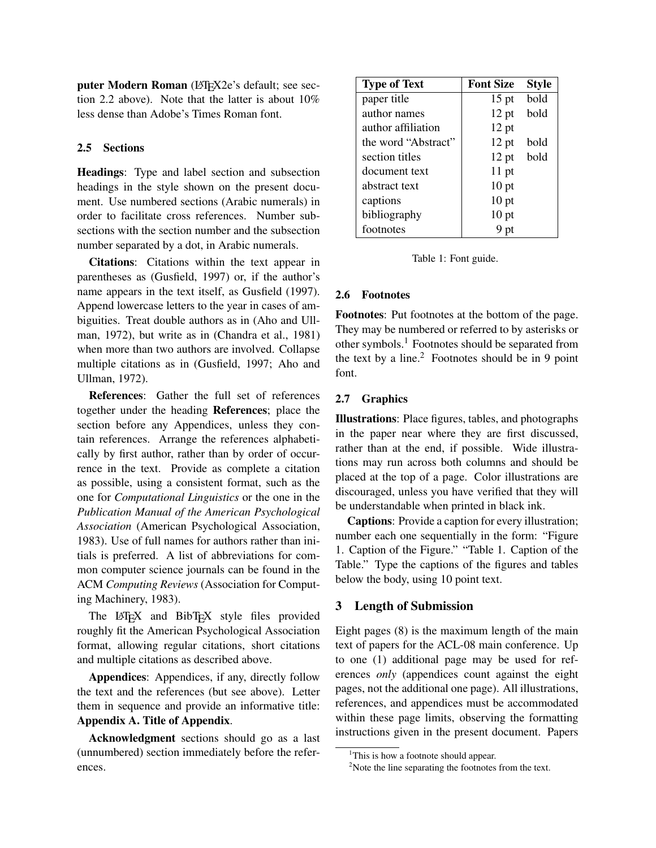puter Modern Roman (L<sup>T</sup>FX2e's default; see section 2.2 above). Note that the latter is about 10% less dense than Adobe's Times Roman font.

#### 2.5 Sections

Headings: Type and label section and subsection headings in the style shown on the present document. Use numbered sections (Arabic numerals) in order to facilitate cross references. Number subsections with the section number and the subsection number separated by a dot, in Arabic numerals.

Citations: Citations within the text appear in parentheses as (Gusfield, 1997) or, if the author's name appears in the text itself, as Gusfield (1997). Append lowercase letters to the year in cases of ambiguities. Treat double authors as in (Aho and Ullman, 1972), but write as in (Chandra et al., 1981) when more than two authors are involved. Collapse multiple citations as in (Gusfield, 1997; Aho and Ullman, 1972).

References: Gather the full set of references together under the heading References; place the section before any Appendices, unless they contain references. Arrange the references alphabetically by first author, rather than by order of occurrence in the text. Provide as complete a citation as possible, using a consistent format, such as the one for *Computational Linguistics* or the one in the *Publication Manual of the American Psychological Association* (American Psychological Association, 1983). Use of full names for authors rather than initials is preferred. A list of abbreviations for common computer science journals can be found in the ACM *Computing Reviews* (Association for Computing Machinery, 1983).

The LAT<sub>E</sub>X and BibT<sub>E</sub>X style files provided roughly fit the American Psychological Association format, allowing regular citations, short citations and multiple citations as described above.

Appendices: Appendices, if any, directly follow the text and the references (but see above). Letter them in sequence and provide an informative title: Appendix A. Title of Appendix.

Acknowledgment sections should go as a last (unnumbered) section immediately before the references.

| <b>Type of Text</b> | <b>Font Size</b> | <b>Style</b> |
|---------------------|------------------|--------------|
| paper title         | $15$ pt          | bold         |
| author names        | $12$ pt          | bold         |
| author affiliation  | $12$ pt          |              |
| the word "Abstract" | $12$ pt          | bold         |
| section titles      | $12$ pt          | bold         |
| document text       | $11$ pt          |              |
| abstract text       | 10 <sub>pt</sub> |              |
| captions            | $10$ pt          |              |
| bibliography        | 10 <sub>pt</sub> |              |
| footnotes           | 9 pt             |              |

Table 1: Font guide.

### 2.6 Footnotes

Footnotes: Put footnotes at the bottom of the page. They may be numbered or referred to by asterisks or other symbols.<sup>1</sup> Footnotes should be separated from the text by a line.<sup>2</sup> Footnotes should be in 9 point font.

#### 2.7 Graphics

Illustrations: Place figures, tables, and photographs in the paper near where they are first discussed, rather than at the end, if possible. Wide illustrations may run across both columns and should be placed at the top of a page. Color illustrations are discouraged, unless you have verified that they will be understandable when printed in black ink.

Captions: Provide a caption for every illustration; number each one sequentially in the form: "Figure 1. Caption of the Figure." "Table 1. Caption of the Table." Type the captions of the figures and tables below the body, using 10 point text.

## 3 Length of Submission

Eight pages (8) is the maximum length of the main text of papers for the ACL-08 main conference. Up to one (1) additional page may be used for references *only* (appendices count against the eight pages, not the additional one page). All illustrations, references, and appendices must be accommodated within these page limits, observing the formatting instructions given in the present document. Papers

<sup>&</sup>lt;sup>1</sup>This is how a footnote should appear.

 $2$ Note the line separating the footnotes from the text.